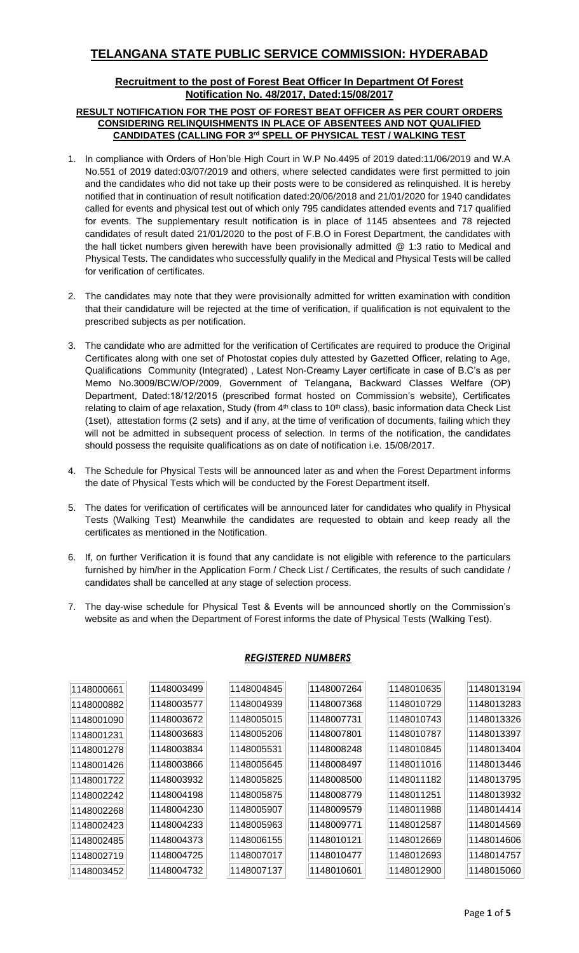## **TELANGANA STATE PUBLIC SERVICE COMMISSION: HYDERABAD**

## **Recruitment to the post of Forest Beat Officer In Department Of Forest Notification No. 48/2017, Dated:15/08/2017**

## **RESULT NOTIFICATION FOR THE POST OF FOREST BEAT OFFICER AS PER COURT ORDERS CONSIDERING RELINQUISHMENTS IN PLACE OF ABSENTEES AND NOT QUALIFIED CANDIDATES (CALLING FOR 3 rd SPELL OF PHYSICAL TEST / WALKING TEST**

- 1. In compliance with Orders of Hon'ble High Court in W.P No.4495 of 2019 dated:11/06/2019 and W.A No.551 of 2019 dated:03/07/2019 and others, where selected candidates were first permitted to join and the candidates who did not take up their posts were to be considered as relinquished. It is hereby notified that in continuation of result notification dated:20/06/2018 and 21/01/2020 for 1940 candidates called for events and physical test out of which only 795 candidates attended events and 717 qualified for events. The supplementary result notification is in place of 1145 absentees and 78 rejected candidates of result dated 21/01/2020 to the post of F.B.O in Forest Department, the candidates with the hall ticket numbers given herewith have been provisionally admitted @ 1:3 ratio to Medical and Physical Tests. The candidates who successfully qualify in the Medical and Physical Tests will be called for verification of certificates.
- 2. The candidates may note that they were provisionally admitted for written examination with condition that their candidature will be rejected at the time of verification, if qualification is not equivalent to the prescribed subjects as per notification.
- 3. The candidate who are admitted for the verification of Certificates are required to produce the Original Certificates along with one set of Photostat copies duly attested by Gazetted Officer, relating to Age, Qualifications Community (Integrated) , Latest Non-Creamy Layer certificate in case of B.C's as per Memo No.3009/BCW/OP/2009, Government of Telangana, Backward Classes Welfare (OP) Department, Dated:18/12/2015 (prescribed format hosted on Commission's website), Certificates relating to claim of age relaxation, Study (from 4<sup>th</sup> class to 10<sup>th</sup> class), basic information data Check List (1set), attestation forms (2 sets) and if any, at the time of verification of documents, failing which they will not be admitted in subsequent process of selection. In terms of the notification, the candidates should possess the requisite qualifications as on date of notification i.e. 15/08/2017.
- 4. The Schedule for Physical Tests will be announced later as and when the Forest Department informs the date of Physical Tests which will be conducted by the Forest Department itself.
- 5. The dates for verification of certificates will be announced later for candidates who qualify in Physical Tests (Walking Test) Meanwhile the candidates are requested to obtain and keep ready all the certificates as mentioned in the Notification.
- 6. If, on further Verification it is found that any candidate is not eligible with reference to the particulars furnished by him/her in the Application Form / Check List / Certificates, the results of such candidate / candidates shall be cancelled at any stage of selection process.
- 7. The day-wise schedule for Physical Test & Events will be announced shortly on the Commission's website as and when the Department of Forest informs the date of Physical Tests (Walking Test).

| 1148000661 | 1148003499 | 1148004845 | 1148007264 | 1148010635 | 1148013194 |
|------------|------------|------------|------------|------------|------------|
| 1148000882 | 1148003577 | 1148004939 | 1148007368 | 1148010729 | 1148013283 |
| 1148001090 | 1148003672 | 1148005015 | 1148007731 | 1148010743 | 1148013326 |
| 1148001231 | 1148003683 | 1148005206 | 1148007801 | 1148010787 | 1148013397 |
| 1148001278 | 1148003834 | 1148005531 | 1148008248 | 1148010845 | 1148013404 |
| 1148001426 | 1148003866 | 1148005645 | 1148008497 | 1148011016 | 1148013446 |
| 1148001722 | 1148003932 | 1148005825 | 1148008500 | 1148011182 | 1148013795 |
| 1148002242 | 1148004198 | 1148005875 | 1148008779 | 1148011251 | 1148013932 |
| 1148002268 | 1148004230 | 1148005907 | 1148009579 | 1148011988 | 1148014414 |
| 1148002423 | 1148004233 | 1148005963 | 1148009771 | 1148012587 | 1148014569 |
| 1148002485 | 1148004373 | 1148006155 | 1148010121 | 1148012669 | 1148014606 |
| 1148002719 | 1148004725 | 1148007017 | 1148010477 | 1148012693 | 1148014757 |
| 1148003452 | 1148004732 | 1148007137 | 1148010601 | 1148012900 | 1148015060 |

## *REGISTERED NUMBERS*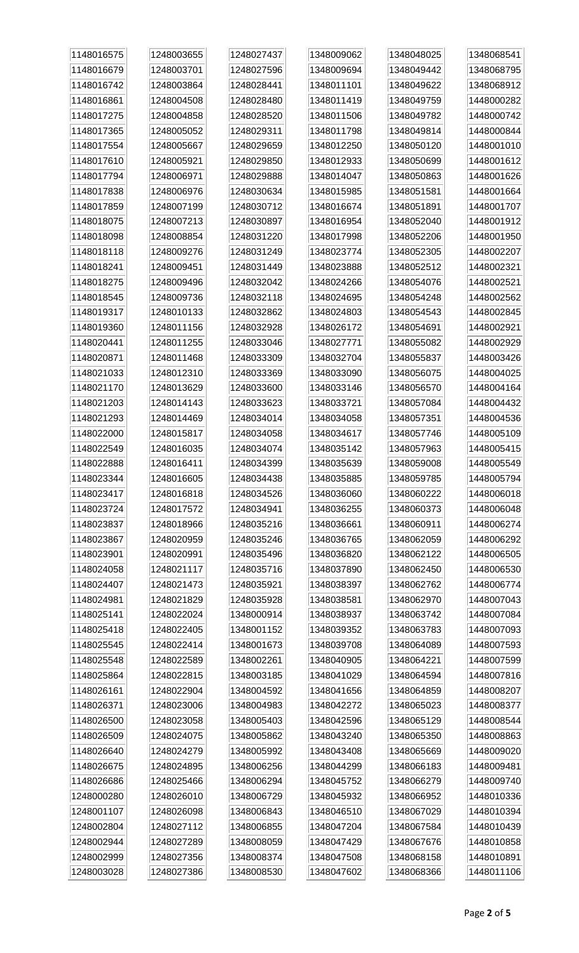| 1148016575 | 1248003655 | 1248027437 | 1348009062 | 1348048025 | 1348068541 |
|------------|------------|------------|------------|------------|------------|
| 1148016679 | 1248003701 | 1248027596 | 1348009694 | 1348049442 | 1348068795 |
| 1148016742 | 1248003864 | 1248028441 | 1348011101 | 1348049622 | 1348068912 |
| 1148016861 | 1248004508 | 1248028480 | 1348011419 | 1348049759 | 1448000282 |
| 1148017275 | 1248004858 | 1248028520 | 1348011506 | 1348049782 | 1448000742 |
| 1148017365 | 1248005052 | 1248029311 | 1348011798 | 1348049814 | 1448000844 |
| 1148017554 | 1248005667 | 1248029659 | 1348012250 | 1348050120 | 1448001010 |
| 1148017610 | 1248005921 | 1248029850 | 1348012933 | 1348050699 | 1448001612 |
| 1148017794 | 1248006971 | 1248029888 | 1348014047 | 1348050863 | 1448001626 |
| 1148017838 | 1248006976 | 1248030634 | 1348015985 | 1348051581 | 1448001664 |
| 1148017859 | 1248007199 | 1248030712 | 1348016674 | 1348051891 | 1448001707 |
| 1148018075 | 1248007213 | 1248030897 | 1348016954 | 1348052040 | 1448001912 |
| 1148018098 | 1248008854 | 1248031220 | 1348017998 | 1348052206 | 1448001950 |
| 1148018118 | 1248009276 | 1248031249 | 1348023774 | 1348052305 | 1448002207 |
| 1148018241 | 1248009451 | 1248031449 | 1348023888 | 1348052512 | 1448002321 |
| 1148018275 | 1248009496 | 1248032042 | 1348024266 | 1348054076 | 1448002521 |
| 1148018545 | 1248009736 | 1248032118 | 1348024695 | 1348054248 | 1448002562 |
| 1148019317 | 1248010133 | 1248032862 | 1348024803 | 1348054543 | 1448002845 |
| 1148019360 | 1248011156 | 1248032928 | 1348026172 | 1348054691 | 1448002921 |
| 1148020441 | 1248011255 | 1248033046 | 1348027771 | 1348055082 | 1448002929 |
| 1148020871 | 1248011468 | 1248033309 | 1348032704 | 1348055837 | 1448003426 |
| 1148021033 | 1248012310 | 1248033369 | 1348033090 | 1348056075 | 1448004025 |
| 1148021170 | 1248013629 | 1248033600 | 1348033146 | 1348056570 | 1448004164 |
| 1148021203 | 1248014143 | 1248033623 | 1348033721 | 1348057084 | 1448004432 |
| 1148021293 | 1248014469 | 1248034014 | 1348034058 | 1348057351 | 1448004536 |
| 1148022000 | 1248015817 | 1248034058 | 1348034617 | 1348057746 | 1448005109 |
| 1148022549 | 1248016035 | 1248034074 | 1348035142 | 1348057963 | 1448005415 |
| 1148022888 | 1248016411 | 1248034399 | 1348035639 | 1348059008 | 1448005549 |
| 1148023344 | 1248016605 | 1248034438 | 1348035885 | 1348059785 | 1448005794 |
| 1148023417 | 1248016818 | 1248034526 | 1348036060 | 1348060222 | 1448006018 |
| 1148023724 | 1248017572 | 1248034941 | 1348036255 | 1348060373 | 1448006048 |
| 1148023837 | 1248018966 | 1248035216 | 1348036661 | 1348060911 | 1448006274 |
| 1148023867 | 1248020959 | 1248035246 | 1348036765 | 1348062059 | 1448006292 |
| 1148023901 | 1248020991 | 1248035496 | 1348036820 | 1348062122 | 1448006505 |
| 1148024058 | 1248021117 | 1248035716 | 1348037890 | 1348062450 | 1448006530 |
| 1148024407 | 1248021473 | 1248035921 | 1348038397 | 1348062762 | 1448006774 |
| 1148024981 | 1248021829 | 1248035928 | 1348038581 | 1348062970 | 1448007043 |
| 1148025141 | 1248022024 | 1348000914 | 1348038937 | 1348063742 | 1448007084 |
| 1148025418 | 1248022405 | 1348001152 | 1348039352 | 1348063783 | 1448007093 |
| 1148025545 | 1248022414 | 1348001673 | 1348039708 | 1348064089 | 1448007593 |
| 1148025548 | 1248022589 | 1348002261 | 1348040905 | 1348064221 | 1448007599 |
| 1148025864 | 1248022815 | 1348003185 | 1348041029 | 1348064594 | 1448007816 |
| 1148026161 | 1248022904 | 1348004592 | 1348041656 | 1348064859 | 1448008207 |
| 1148026371 | 1248023006 | 1348004983 | 1348042272 | 1348065023 | 1448008377 |
| 1148026500 | 1248023058 | 1348005403 | 1348042596 | 1348065129 | 1448008544 |
| 1148026509 | 1248024075 | 1348005862 | 1348043240 | 1348065350 | 1448008863 |
| 1148026640 | 1248024279 | 1348005992 | 1348043408 | 1348065669 | 1448009020 |
| 1148026675 | 1248024895 | 1348006256 | 1348044299 | 1348066183 | 1448009481 |
| 1148026686 | 1248025466 | 1348006294 | 1348045752 | 1348066279 | 1448009740 |
| 1248000280 | 1248026010 | 1348006729 | 1348045932 | 1348066952 | 1448010336 |
| 1248001107 | 1248026098 | 1348006843 | 1348046510 | 1348067029 | 1448010394 |
| 1248002804 | 1248027112 | 1348006855 | 1348047204 | 1348067584 | 1448010439 |
| 1248002944 | 1248027289 | 1348008059 | 1348047429 | 1348067676 | 1448010858 |
| 1248002999 | 1248027356 | 1348008374 | 1348047508 | 1348068158 | 1448010891 |
| 1248003028 | 1248027386 | 1348008530 | 1348047602 | 1348068366 | 1448011106 |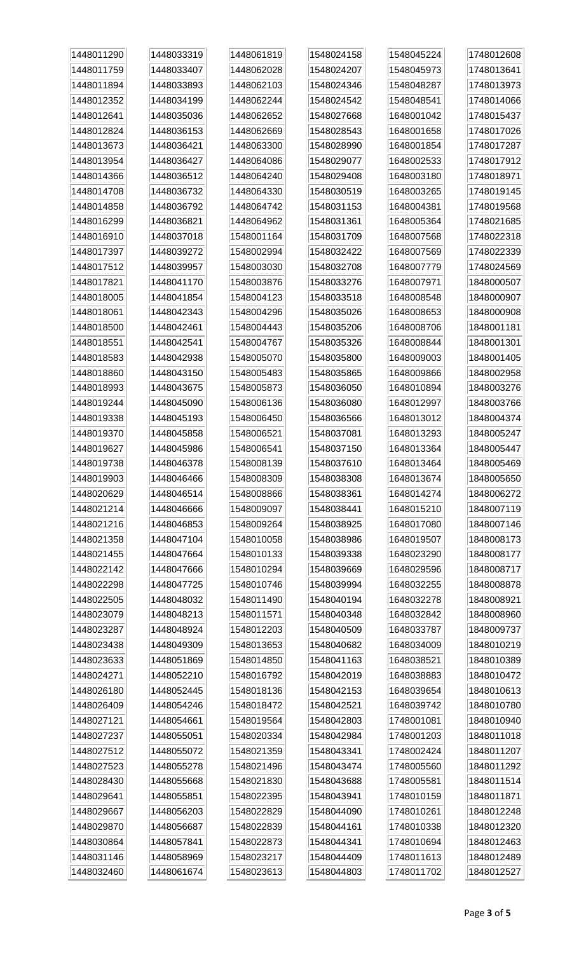| 1448011290 | 1448033319 | 1448061819 | 1548024158 | 1548045224 | 1748012608 |
|------------|------------|------------|------------|------------|------------|
| 1448011759 | 1448033407 | 1448062028 | 1548024207 | 1548045973 | 1748013641 |
| 1448011894 | 1448033893 | 1448062103 | 1548024346 | 1548048287 | 1748013973 |
| 1448012352 | 1448034199 | 1448062244 | 1548024542 | 1548048541 | 1748014066 |
| 1448012641 | 1448035036 | 1448062652 | 1548027668 | 1648001042 | 1748015437 |
| 1448012824 | 1448036153 | 1448062669 | 1548028543 | 1648001658 | 1748017026 |
| 1448013673 | 1448036421 | 1448063300 | 1548028990 | 1648001854 | 1748017287 |
| 1448013954 | 1448036427 | 1448064086 | 1548029077 | 1648002533 | 1748017912 |
| 1448014366 | 1448036512 | 1448064240 | 1548029408 | 1648003180 | 1748018971 |
| 1448014708 | 1448036732 | 1448064330 | 1548030519 | 1648003265 | 1748019145 |
| 1448014858 | 1448036792 | 1448064742 | 1548031153 | 1648004381 | 1748019568 |
| 1448016299 | 1448036821 | 1448064962 | 1548031361 | 1648005364 | 1748021685 |
| 1448016910 | 1448037018 | 1548001164 | 1548031709 | 1648007568 | 1748022318 |
| 1448017397 | 1448039272 | 1548002994 | 1548032422 | 1648007569 | 1748022339 |
| 1448017512 | 1448039957 | 1548003030 | 1548032708 | 1648007779 | 1748024569 |
| 1448017821 | 1448041170 | 1548003876 | 1548033276 | 1648007971 | 1848000507 |
| 1448018005 | 1448041854 | 1548004123 | 1548033518 | 1648008548 | 1848000907 |
| 1448018061 | 1448042343 | 1548004296 | 1548035026 | 1648008653 | 1848000908 |
| 1448018500 | 1448042461 | 1548004443 | 1548035206 | 1648008706 | 1848001181 |
| 1448018551 | 1448042541 | 1548004767 | 1548035326 | 1648008844 | 1848001301 |
| 1448018583 | 1448042938 | 1548005070 | 1548035800 | 1648009003 | 1848001405 |
| 1448018860 | 1448043150 | 1548005483 | 1548035865 | 1648009866 | 1848002958 |
| 1448018993 | 1448043675 | 1548005873 | 1548036050 | 1648010894 | 1848003276 |
| 1448019244 | 1448045090 | 1548006136 | 1548036080 | 1648012997 | 1848003766 |
| 1448019338 | 1448045193 | 1548006450 | 1548036566 | 1648013012 | 1848004374 |
| 1448019370 | 1448045858 | 1548006521 | 1548037081 | 1648013293 | 1848005247 |
| 1448019627 | 1448045986 | 1548006541 | 1548037150 | 1648013364 | 1848005447 |
| 1448019738 | 1448046378 | 1548008139 | 1548037610 | 1648013464 | 1848005469 |
| 1448019903 | 1448046466 | 1548008309 | 1548038308 | 1648013674 | 1848005650 |
| 1448020629 | 1448046514 | 1548008866 | 1548038361 | 1648014274 | 1848006272 |
| 1448021214 | 1448046666 | 1548009097 | 1548038441 | 1648015210 | 1848007119 |
| 1448021216 | 1448046853 | 1548009264 | 1548038925 | 1648017080 | 1848007146 |
| 1448021358 | 1448047104 | 1548010058 | 1548038986 | 1648019507 | 1848008173 |
| 1448021455 | 1448047664 | 1548010133 | 1548039338 | 1648023290 | 1848008177 |
| 1448022142 | 1448047666 | 1548010294 | 1548039669 | 1648029596 | 1848008717 |
| 1448022298 | 1448047725 | 1548010746 | 1548039994 | 1648032255 | 1848008878 |
| 1448022505 | 1448048032 | 1548011490 | 1548040194 | 1648032278 | 1848008921 |
| 1448023079 | 1448048213 | 1548011571 | 1548040348 | 1648032842 | 1848008960 |
| 1448023287 | 1448048924 | 1548012203 | 1548040509 | 1648033787 | 1848009737 |
| 1448023438 | 1448049309 | 1548013653 | 1548040682 | 1648034009 | 1848010219 |
| 1448023633 | 1448051869 | 1548014850 | 1548041163 | 1648038521 | 1848010389 |
| 1448024271 | 1448052210 | 1548016792 | 1548042019 | 1648038883 | 1848010472 |
| 1448026180 | 1448052445 | 1548018136 | 1548042153 | 1648039654 | 1848010613 |
| 1448026409 | 1448054246 | 1548018472 | 1548042521 | 1648039742 | 1848010780 |
| 1448027121 | 1448054661 | 1548019564 | 1548042803 | 1748001081 | 1848010940 |
| 1448027237 | 1448055051 | 1548020334 | 1548042984 | 1748001203 | 1848011018 |
| 1448027512 | 1448055072 | 1548021359 | 1548043341 | 1748002424 | 1848011207 |
| 1448027523 | 1448055278 | 1548021496 | 1548043474 | 1748005560 | 1848011292 |
| 1448028430 | 1448055668 | 1548021830 | 1548043688 | 1748005581 | 1848011514 |
| 1448029641 | 1448055851 | 1548022395 | 1548043941 | 1748010159 | 1848011871 |
| 1448029667 | 1448056203 | 1548022829 | 1548044090 | 1748010261 | 1848012248 |
| 1448029870 | 1448056687 | 1548022839 | 1548044161 | 1748010338 | 1848012320 |
| 1448030864 | 1448057841 | 1548022873 | 1548044341 | 1748010694 | 1848012463 |
| 1448031146 | 1448058969 | 1548023217 | 1548044409 | 1748011613 | 1848012489 |
| 1448032460 | 1448061674 | 1548023613 | 1548044803 | 1748011702 | 1848012527 |
|            |            |            |            |            |            |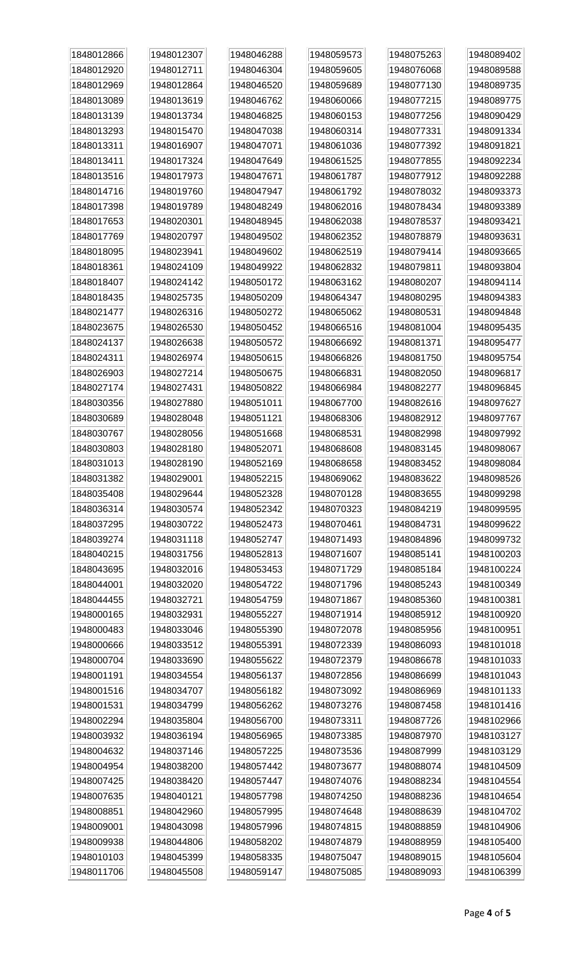| 1848012866 | 1948012307 | 1948046288 | 1948059573 | 1948075263 | 1948089402 |
|------------|------------|------------|------------|------------|------------|
| 1848012920 | 1948012711 | 1948046304 | 1948059605 | 1948076068 | 1948089588 |
| 1848012969 | 1948012864 | 1948046520 | 1948059689 | 1948077130 | 1948089735 |
| 1848013089 | 1948013619 | 1948046762 | 1948060066 | 1948077215 | 1948089775 |
| 1848013139 | 1948013734 | 1948046825 | 1948060153 | 1948077256 | 1948090429 |
| 1848013293 | 1948015470 | 1948047038 | 1948060314 | 1948077331 | 1948091334 |
| 1848013311 | 1948016907 | 1948047071 | 1948061036 | 1948077392 | 1948091821 |
| 1848013411 | 1948017324 | 1948047649 | 1948061525 | 1948077855 | 1948092234 |
| 1848013516 | 1948017973 | 1948047671 | 1948061787 | 1948077912 | 1948092288 |
| 1848014716 | 1948019760 | 1948047947 | 1948061792 | 1948078032 | 1948093373 |
| 1848017398 | 1948019789 | 1948048249 | 1948062016 | 1948078434 | 1948093389 |
| 1848017653 | 1948020301 | 1948048945 | 1948062038 | 1948078537 | 1948093421 |
| 1848017769 | 1948020797 | 1948049502 | 1948062352 | 1948078879 | 1948093631 |
| 1848018095 | 1948023941 | 1948049602 | 1948062519 | 1948079414 | 1948093665 |
| 1848018361 | 1948024109 | 1948049922 | 1948062832 | 1948079811 | 1948093804 |
| 1848018407 | 1948024142 | 1948050172 | 1948063162 | 1948080207 | 1948094114 |
| 1848018435 | 1948025735 | 1948050209 | 1948064347 | 1948080295 | 1948094383 |
| 1848021477 | 1948026316 | 1948050272 | 1948065062 | 1948080531 | 1948094848 |
| 1848023675 | 1948026530 | 1948050452 | 1948066516 | 1948081004 | 1948095435 |
| 1848024137 | 1948026638 | 1948050572 | 1948066692 | 1948081371 | 1948095477 |
| 1848024311 | 1948026974 | 1948050615 | 1948066826 | 1948081750 | 1948095754 |
| 1848026903 | 1948027214 | 1948050675 | 1948066831 | 1948082050 | 1948096817 |
| 1848027174 | 1948027431 | 1948050822 | 1948066984 | 1948082277 | 1948096845 |
| 1848030356 | 1948027880 | 1948051011 | 1948067700 | 1948082616 | 1948097627 |
| 1848030689 | 1948028048 | 1948051121 | 1948068306 | 1948082912 | 1948097767 |
| 1848030767 | 1948028056 | 1948051668 | 1948068531 | 1948082998 | 1948097992 |
| 1848030803 | 1948028180 | 1948052071 | 1948068608 | 1948083145 | 1948098067 |
| 1848031013 | 1948028190 | 1948052169 | 1948068658 | 1948083452 | 1948098084 |
| 1848031382 | 1948029001 | 1948052215 | 1948069062 | 1948083622 | 1948098526 |
| 1848035408 | 1948029644 | 1948052328 | 1948070128 | 1948083655 | 1948099298 |
| 1848036314 | 1948030574 | 1948052342 | 1948070323 | 1948084219 | 1948099595 |
| 1848037295 | 1948030722 | 1948052473 | 1948070461 | 1948084731 | 1948099622 |
| 1848039274 | 1948031118 | 1948052747 | 1948071493 | 1948084896 | 1948099732 |
| 1848040215 | 1948031756 | 1948052813 | 1948071607 | 1948085141 | 1948100203 |
| 1848043695 | 1948032016 | 1948053453 | 1948071729 | 1948085184 | 1948100224 |
| 1848044001 | 1948032020 | 1948054722 | 1948071796 | 1948085243 | 1948100349 |
| 1848044455 | 1948032721 | 1948054759 | 1948071867 | 1948085360 | 1948100381 |
| 1948000165 | 1948032931 | 1948055227 | 1948071914 | 1948085912 | 1948100920 |
| 1948000483 | 1948033046 | 1948055390 | 1948072078 | 1948085956 | 1948100951 |
| 1948000666 | 1948033512 | 1948055391 | 1948072339 | 1948086093 | 1948101018 |
| 1948000704 | 1948033690 | 1948055622 | 1948072379 | 1948086678 | 1948101033 |
| 1948001191 | 1948034554 | 1948056137 | 1948072856 | 1948086699 | 1948101043 |
| 1948001516 | 1948034707 | 1948056182 | 1948073092 | 1948086969 | 1948101133 |
| 1948001531 | 1948034799 | 1948056262 | 1948073276 | 1948087458 | 1948101416 |
| 1948002294 | 1948035804 | 1948056700 | 1948073311 | 1948087726 | 1948102966 |
| 1948003932 | 1948036194 | 1948056965 | 1948073385 | 1948087970 | 1948103127 |
| 1948004632 | 1948037146 | 1948057225 | 1948073536 | 1948087999 | 1948103129 |
| 1948004954 | 1948038200 | 1948057442 | 1948073677 | 1948088074 | 1948104509 |
| 1948007425 | 1948038420 | 1948057447 | 1948074076 | 1948088234 | 1948104554 |
| 1948007635 | 1948040121 | 1948057798 | 1948074250 | 1948088236 | 1948104654 |
| 1948008851 | 1948042960 | 1948057995 | 1948074648 | 1948088639 | 1948104702 |
| 1948009001 | 1948043098 | 1948057996 | 1948074815 | 1948088859 | 1948104906 |
| 1948009938 | 1948044806 | 1948058202 | 1948074879 | 1948088959 | 1948105400 |
| 1948010103 | 1948045399 | 1948058335 | 1948075047 | 1948089015 | 1948105604 |
| 1948011706 | 1948045508 | 1948059147 | 1948075085 | 1948089093 | 1948106399 |
|            |            |            |            |            |            |